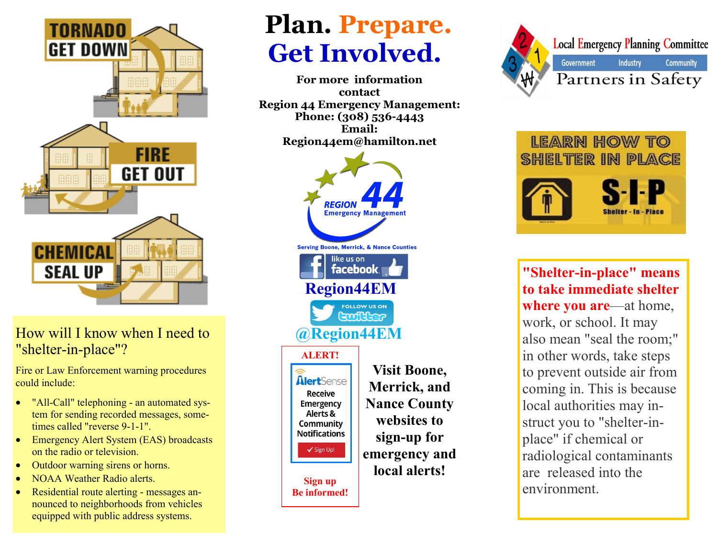

### How will I know when I need to "shelter-in-place"?

Fire or Law Enforcement warning procedures could include:

- "All-Call" telephoning an automated system for sending recorded messages, sometimes called "reverse 9-1-1".
- Emergency Alert System (EAS) broadcasts on the radio or television.
- Outdoor warning sirens or horns.
- NOAA Weather Radio alerts.
- Residential route alerting messages announced to neighborhoods from vehicles equipped with public address systems.

# **Plan. Prepare. Get Involved.**

**For more information contact Region 44 Emergency Management: Phone: (308) 536-4443 Email: Region44em@hamilton.net**







**"Shelter-in-place" means to take immediate shelter where you are**—at home, work, or school. It may also mean "seal the room;" in other words, take steps to prevent outside air from coming in. This is because local authorities may instruct you to "shelter-inplace" if chemical or radiological contaminants are released into the environment.